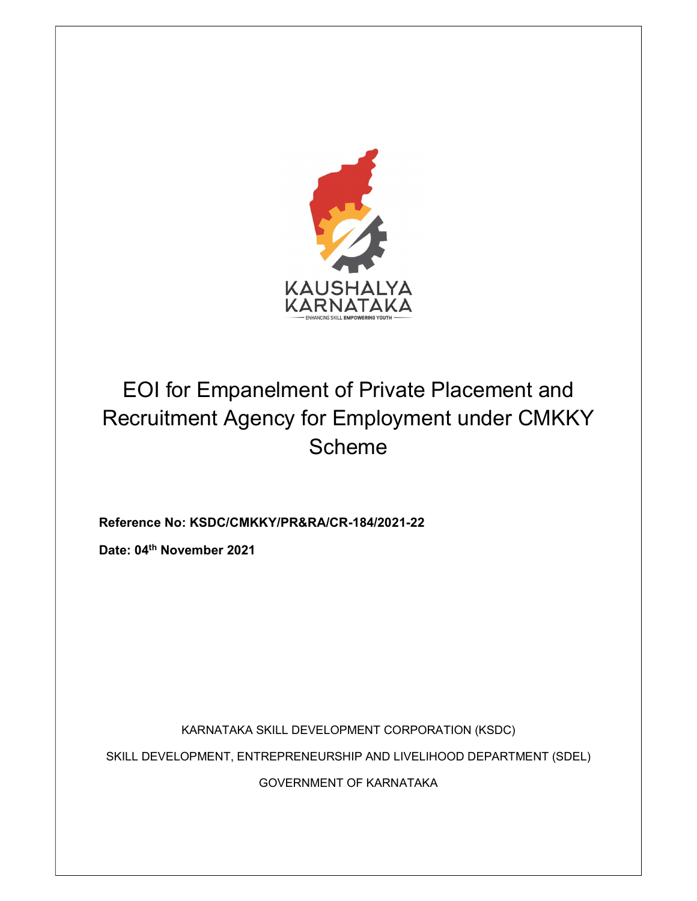

Reference No: KSDC/CMKKY/PR&RA/CR-184/2021-22

Date: 04th November 2021

KARNATAKA SKILL DEVELOPMENT CORPORATION (KSDC) SKILL DEVELOPMENT, ENTREPRENEURSHIP AND LIVELIHOOD DEPARTMENT (SDEL) GOVERNMENT OF KARNATAKA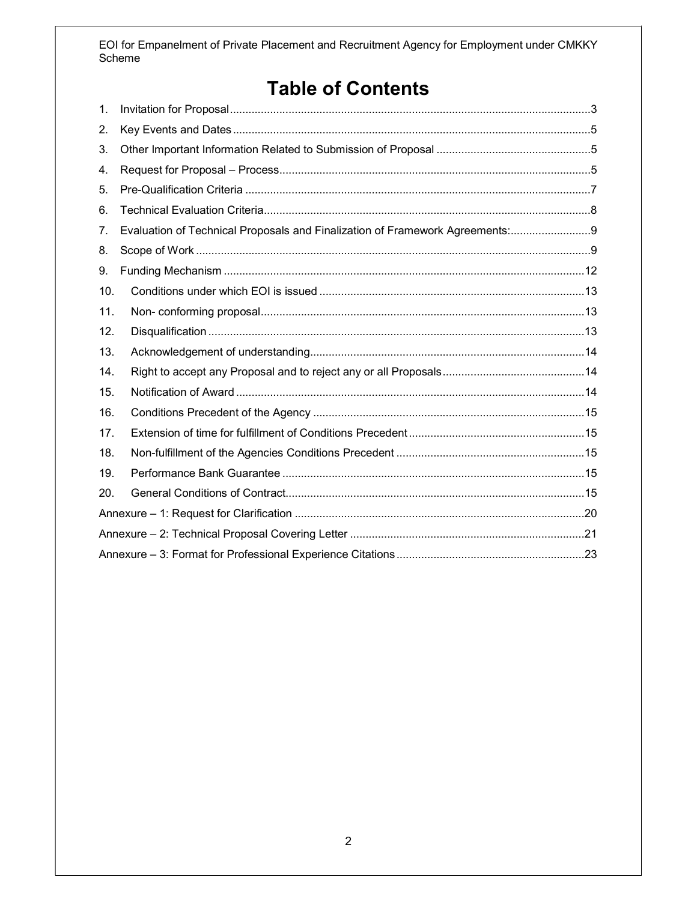# **Table of Contents**

| 1.  |                                                                               |  |
|-----|-------------------------------------------------------------------------------|--|
| 2.  |                                                                               |  |
| 3.  |                                                                               |  |
| 4.  |                                                                               |  |
| 5.  |                                                                               |  |
| 6.  |                                                                               |  |
| 7.  | Evaluation of Technical Proposals and Finalization of Framework Agreements: 9 |  |
| 8.  |                                                                               |  |
| 9.  |                                                                               |  |
| 10. |                                                                               |  |
| 11. |                                                                               |  |
| 12. |                                                                               |  |
| 13. |                                                                               |  |
| 14. |                                                                               |  |
| 15. |                                                                               |  |
| 16. |                                                                               |  |
| 17. |                                                                               |  |
| 18. |                                                                               |  |
| 19. |                                                                               |  |
| 20. |                                                                               |  |
|     |                                                                               |  |
|     |                                                                               |  |
|     |                                                                               |  |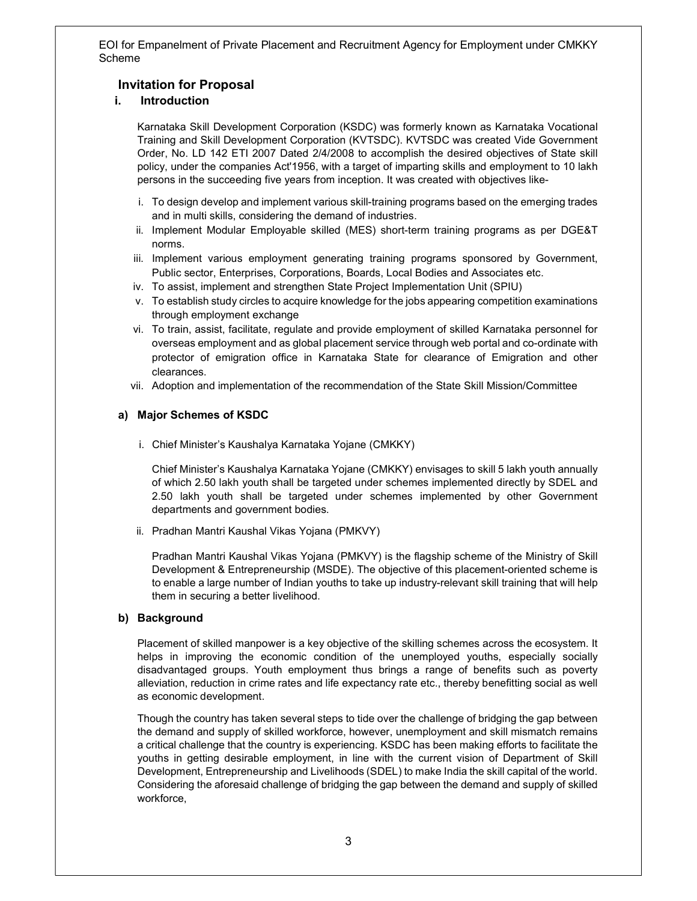## Invitation for Proposal

## i. Introduction

Karnataka Skill Development Corporation (KSDC) was formerly known as Karnataka Vocational Training and Skill Development Corporation (KVTSDC). KVTSDC was created Vide Government Order, No. LD 142 ETI 2007 Dated 2/4/2008 to accomplish the desired objectives of State skill policy, under the companies Act'1956, with a target of imparting skills and employment to 10 lakh persons in the succeeding five years from inception. It was created with objectives like-

- i. To design develop and implement various skill-training programs based on the emerging trades and in multi skills, considering the demand of industries.
- ii. Implement Modular Employable skilled (MES) short-term training programs as per DGE&T norms.
- iii. Implement various employment generating training programs sponsored by Government, Public sector, Enterprises, Corporations, Boards, Local Bodies and Associates etc.
- iv. To assist, implement and strengthen State Project Implementation Unit (SPIU)
- v. To establish study circles to acquire knowledge for the jobs appearing competition examinations through employment exchange
- vi. To train, assist, facilitate, regulate and provide employment of skilled Karnataka personnel for overseas employment and as global placement service through web portal and co-ordinate with protector of emigration office in Karnataka State for clearance of Emigration and other clearances.
- vii. Adoption and implementation of the recommendation of the State Skill Mission/Committee

### a) Major Schemes of KSDC

i. Chief Minister's Kaushalya Karnataka Yojane (CMKKY)

Chief Minister's Kaushalya Karnataka Yojane (CMKKY) envisages to skill 5 lakh youth annually of which 2.50 lakh youth shall be targeted under schemes implemented directly by SDEL and 2.50 lakh youth shall be targeted under schemes implemented by other Government departments and government bodies.

ii. Pradhan Mantri Kaushal Vikas Yojana (PMKVY)

Pradhan Mantri Kaushal Vikas Yojana (PMKVY) is the flagship scheme of the Ministry of Skill Development & Entrepreneurship (MSDE). The objective of this placement-oriented scheme is to enable a large number of Indian youths to take up industry-relevant skill training that will help them in securing a better livelihood.

### b) Background

Placement of skilled manpower is a key objective of the skilling schemes across the ecosystem. It helps in improving the economic condition of the unemployed youths, especially socially disadvantaged groups. Youth employment thus brings a range of benefits such as poverty alleviation, reduction in crime rates and life expectancy rate etc., thereby benefitting social as well as economic development.

Though the country has taken several steps to tide over the challenge of bridging the gap between the demand and supply of skilled workforce, however, unemployment and skill mismatch remains a critical challenge that the country is experiencing. KSDC has been making efforts to facilitate the youths in getting desirable employment, in line with the current vision of Department of Skill Development, Entrepreneurship and Livelihoods (SDEL) to make India the skill capital of the world. Considering the aforesaid challenge of bridging the gap between the demand and supply of skilled workforce,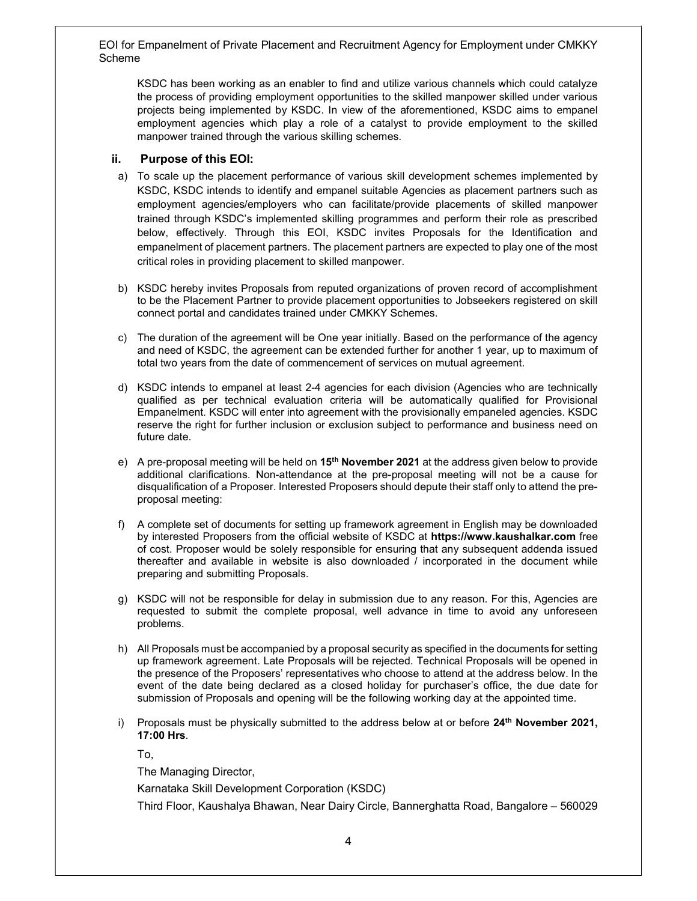KSDC has been working as an enabler to find and utilize various channels which could catalyze the process of providing employment opportunities to the skilled manpower skilled under various projects being implemented by KSDC. In view of the aforementioned, KSDC aims to empanel employment agencies which play a role of a catalyst to provide employment to the skilled manpower trained through the various skilling schemes.

## ii. Purpose of this EOI:

- a) To scale up the placement performance of various skill development schemes implemented by KSDC, KSDC intends to identify and empanel suitable Agencies as placement partners such as employment agencies/employers who can facilitate/provide placements of skilled manpower trained through KSDC's implemented skilling programmes and perform their role as prescribed below, effectively. Through this EOI, KSDC invites Proposals for the Identification and empanelment of placement partners. The placement partners are expected to play one of the most critical roles in providing placement to skilled manpower.
- b) KSDC hereby invites Proposals from reputed organizations of proven record of accomplishment to be the Placement Partner to provide placement opportunities to Jobseekers registered on skill connect portal and candidates trained under CMKKY Schemes.
- c) The duration of the agreement will be One year initially. Based on the performance of the agency and need of KSDC, the agreement can be extended further for another 1 year, up to maximum of total two years from the date of commencement of services on mutual agreement.
- d) KSDC intends to empanel at least 2-4 agencies for each division (Agencies who are technically qualified as per technical evaluation criteria will be automatically qualified for Provisional Empanelment. KSDC will enter into agreement with the provisionally empaneled agencies. KSDC reserve the right for further inclusion or exclusion subject to performance and business need on future date.
- e) A pre-proposal meeting will be held on  $15<sup>th</sup>$  November 2021 at the address given below to provide additional clarifications. Non-attendance at the pre-proposal meeting will not be a cause for disqualification of a Proposer. Interested Proposers should depute their staff only to attend the preproposal meeting:
- f) A complete set of documents for setting up framework agreement in English may be downloaded by interested Proposers from the official website of KSDC at https://www.kaushalkar.com free of cost. Proposer would be solely responsible for ensuring that any subsequent addenda issued thereafter and available in website is also downloaded / incorporated in the document while preparing and submitting Proposals.
- g) KSDC will not be responsible for delay in submission due to any reason. For this, Agencies are requested to submit the complete proposal, well advance in time to avoid any unforeseen problems.
- h) All Proposals must be accompanied by a proposal security as specified in the documents for setting up framework agreement. Late Proposals will be rejected. Technical Proposals will be opened in the presence of the Proposers' representatives who choose to attend at the address below. In the event of the date being declared as a closed holiday for purchaser's office, the due date for submission of Proposals and opening will be the following working day at the appointed time.
- i) Proposals must be physically submitted to the address below at or before  $24<sup>th</sup>$  November 2021, 17:00 Hrs.

To,

The Managing Director,

Karnataka Skill Development Corporation (KSDC)

Third Floor, Kaushalya Bhawan, Near Dairy Circle, Bannerghatta Road, Bangalore – 560029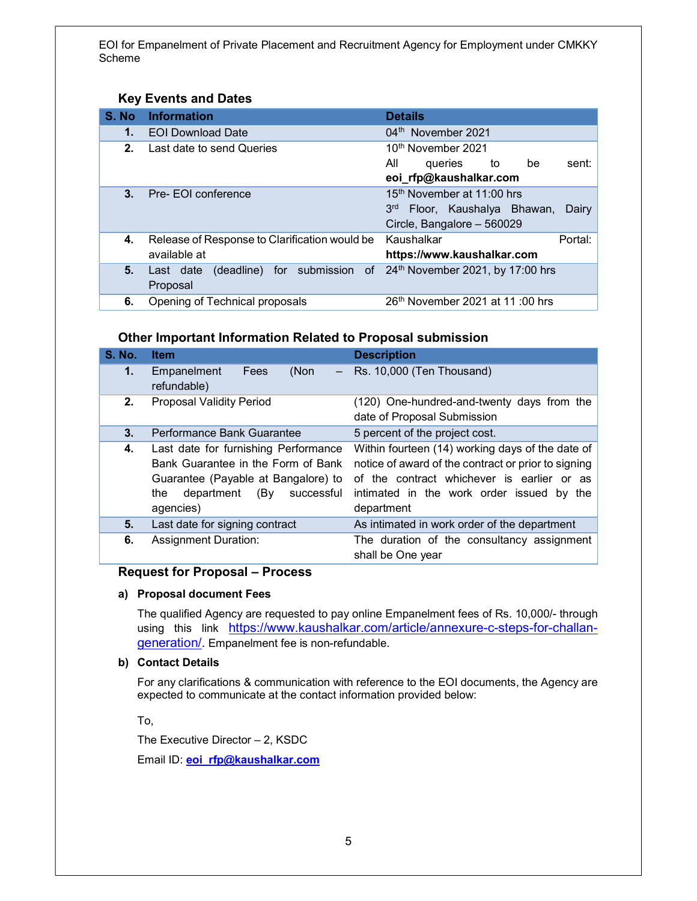## Key Events and Dates

| S. No          | <b>Information</b>                                                                  | <b>Details</b>                                       |
|----------------|-------------------------------------------------------------------------------------|------------------------------------------------------|
| 1.             | <b>EOI Download Date</b>                                                            | 04 <sup>th</sup> November 2021                       |
| 2.             | Last date to send Queries                                                           | 10 <sup>th</sup> November 2021                       |
|                |                                                                                     | All<br>sent:<br>queries to<br>be                     |
|                |                                                                                     | eoi_rfp@kaushalkar.com                               |
| 3 <sub>1</sub> | Pre-EOI conference                                                                  | 15 <sup>th</sup> November at 11:00 hrs               |
|                |                                                                                     | 3 <sup>rd</sup><br>Floor, Kaushalya Bhawan,<br>Dairy |
|                |                                                                                     | Circle, Bangalore - 560029                           |
| 4.             | Release of Response to Clarification would be                                       | Kaushalkar<br>Portal:                                |
|                | available at                                                                        | https://www.kaushalkar.com                           |
| 5.             | Last date (deadline) for submission of 24 <sup>th</sup> November 2021, by 17:00 hrs |                                                      |
|                | Proposal                                                                            |                                                      |
| 6.             | Opening of Technical proposals                                                      | $26th$ November 2021 at 11:00 hrs                    |

## Other Important Information Related to Proposal submission

| <b>S. No.</b> | <b>Item</b>                                                                                                                                                              | <b>Description</b>                                                                                                                                                                                               |
|---------------|--------------------------------------------------------------------------------------------------------------------------------------------------------------------------|------------------------------------------------------------------------------------------------------------------------------------------------------------------------------------------------------------------|
| 1.            | Empanelment<br>(Non<br>Fees<br>$\overline{\phantom{m}}$<br>refundable)                                                                                                   | Rs. 10,000 (Ten Thousand)                                                                                                                                                                                        |
| 2.            | <b>Proposal Validity Period</b>                                                                                                                                          | (120) One-hundred-and-twenty days from the<br>date of Proposal Submission                                                                                                                                        |
| 3.            | Performance Bank Guarantee                                                                                                                                               | 5 percent of the project cost.                                                                                                                                                                                   |
| 4.            | Last date for furnishing Performance<br>Bank Guarantee in the Form of Bank<br>Guarantee (Payable at Bangalore) to<br>(By<br>the<br>department<br>successful<br>agencies) | Within fourteen (14) working days of the date of<br>notice of award of the contract or prior to signing<br>of the contract whichever is earlier or as<br>intimated in the work order issued by the<br>department |
| 5.            | Last date for signing contract                                                                                                                                           | As intimated in work order of the department                                                                                                                                                                     |
| 6.            | <b>Assignment Duration:</b>                                                                                                                                              | The duration of the consultancy assignment<br>shall be One year                                                                                                                                                  |

## Request for Proposal – Process

## a) Proposal document Fees

The qualified Agency are requested to pay online Empanelment fees of Rs. 10,000/- through using this link https://www.kaushalkar.com/article/annexure-c-steps-for-challangeneration/. Empanelment fee is non-refundable.

### b) Contact Details

For any clarifications & communication with reference to the EOI documents, the Agency are expected to communicate at the contact information provided below:

To,

The Executive Director – 2, KSDC

Email ID: **eoi\_rfp@kaushalkar.com**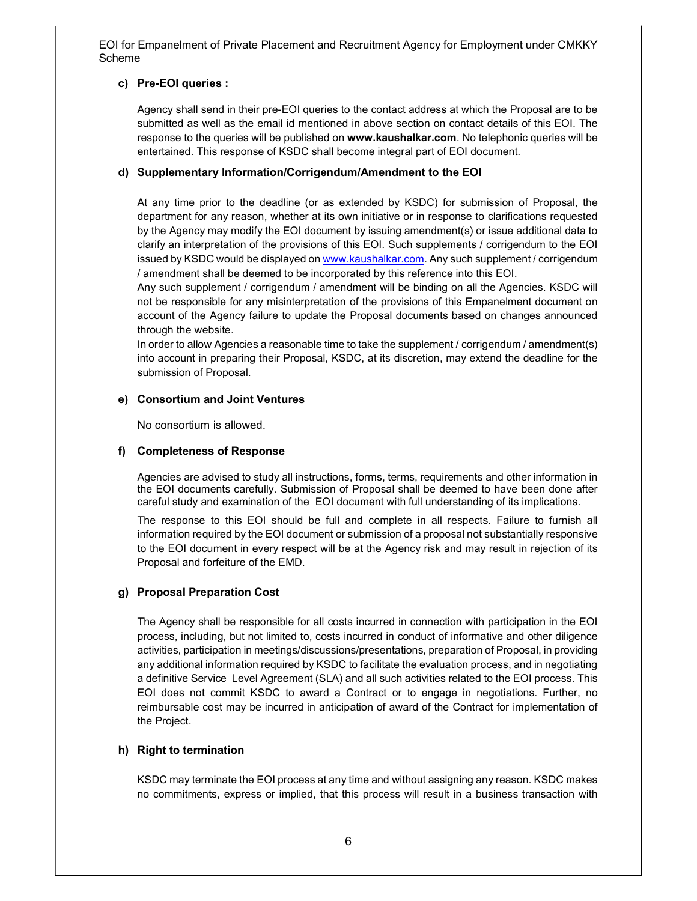## c) Pre-EOI queries :

Agency shall send in their pre-EOI queries to the contact address at which the Proposal are to be submitted as well as the email id mentioned in above section on contact details of this EOI. The response to the queries will be published on www.kaushalkar.com. No telephonic queries will be entertained. This response of KSDC shall become integral part of EOI document.

## d) Supplementary Information/Corrigendum/Amendment to the EOI

At any time prior to the deadline (or as extended by KSDC) for submission of Proposal, the department for any reason, whether at its own initiative or in response to clarifications requested by the Agency may modify the EOI document by issuing amendment(s) or issue additional data to clarify an interpretation of the provisions of this EOI. Such supplements / corrigendum to the EOI issued by KSDC would be displayed on www.kaushalkar.com. Any such supplement / corrigendum / amendment shall be deemed to be incorporated by this reference into this EOI.

Any such supplement / corrigendum / amendment will be binding on all the Agencies. KSDC will not be responsible for any misinterpretation of the provisions of this Empanelment document on account of the Agency failure to update the Proposal documents based on changes announced through the website.

In order to allow Agencies a reasonable time to take the supplement / corrigendum / amendment(s) into account in preparing their Proposal, KSDC, at its discretion, may extend the deadline for the submission of Proposal.

## e) Consortium and Joint Ventures

No consortium is allowed.

## f) Completeness of Response

Agencies are advised to study all instructions, forms, terms, requirements and other information in the EOI documents carefully. Submission of Proposal shall be deemed to have been done after careful study and examination of the EOI document with full understanding of its implications.

The response to this EOI should be full and complete in all respects. Failure to furnish all information required by the EOI document or submission of a proposal not substantially responsive to the EOI document in every respect will be at the Agency risk and may result in rejection of its Proposal and forfeiture of the EMD.

## g) Proposal Preparation Cost

The Agency shall be responsible for all costs incurred in connection with participation in the EOI process, including, but not limited to, costs incurred in conduct of informative and other diligence activities, participation in meetings/discussions/presentations, preparation of Proposal, in providing any additional information required by KSDC to facilitate the evaluation process, and in negotiating a definitive Service Level Agreement (SLA) and all such activities related to the EOI process. This EOI does not commit KSDC to award a Contract or to engage in negotiations. Further, no reimbursable cost may be incurred in anticipation of award of the Contract for implementation of the Project.

## h) Right to termination

KSDC may terminate the EOI process at any time and without assigning any reason. KSDC makes no commitments, express or implied, that this process will result in a business transaction with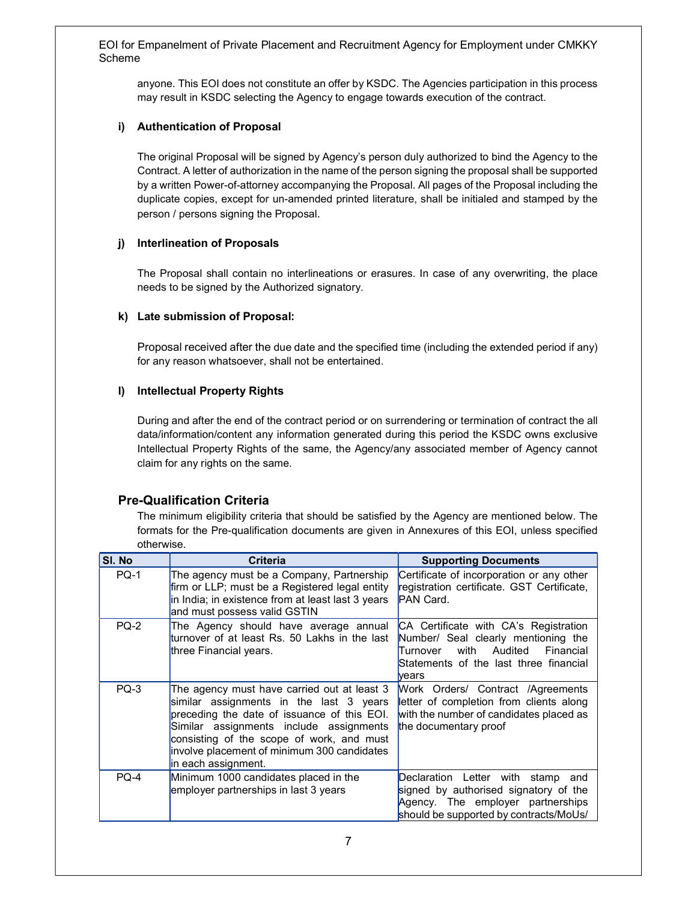anyone. This EOI does not constitute an offer by KSDC. The Agencies participation in this process may result in KSDC selecting the Agency to engage towards execution of the contract.

## i) Authentication of Proposal

The original Proposal will be signed by Agency's person duly authorized to bind the Agency to the Contract. A letter of authorization in the name of the person signing the proposal shall be supported by a written Power-of-attorney accompanying the Proposal. All pages of the Proposal including the duplicate copies, except for un-amended printed literature, shall be initialed and stamped by the person / persons signing the Proposal.

## j) Interlineation of Proposals

The Proposal shall contain no interlineations or erasures. In case of any overwriting, the place needs to be signed by the Authorized signatory.

## k) Late submission of Proposal:

Proposal received after the due date and the specified time (including the extended period if any) for any reason whatsoever, shall not be entertained.

## l) Intellectual Property Rights

During and after the end of the contract period or on surrendering or termination of contract the all data/information/content any information generated during this period the KSDC owns exclusive Intellectual Property Rights of the same, the Agency/any associated member of Agency cannot claim for any rights on the same.

## Pre-Qualification Criteria

The minimum eligibility criteria that should be satisfied by the Agency are mentioned below. The formats for the Pre-qualification documents are given in Annexures of this EOI, unless specified otherwise.

| SI. No      | <b>Criteria</b>                                                                                                                                                                                                                                                                                     | <b>Supporting Documents</b>                                                                                                                                                     |
|-------------|-----------------------------------------------------------------------------------------------------------------------------------------------------------------------------------------------------------------------------------------------------------------------------------------------------|---------------------------------------------------------------------------------------------------------------------------------------------------------------------------------|
| <b>PQ-1</b> | The agency must be a Company, Partnership<br>firm or LLP; must be a Registered legal entity<br>in India; in existence from at least last 3 years<br>and must possess valid GSTIN                                                                                                                    | Certificate of incorporation or any other<br>registration certificate. GST Certificate,<br>PAN Card.                                                                            |
| $PQ-2$      | The Agency should have average annual<br>turnover of at least Rs. 50 Lakhs in the last<br>three Financial years.                                                                                                                                                                                    | CA Certificate with CA's Registration<br>Number/ Seal clearly mentioning the<br>with<br>Audited Financial<br>Turnover<br>Statements of the last three financial<br><b>Nears</b> |
| $PQ-3$      | The agency must have carried out at least 3<br>similar assignments in the last 3 years<br>preceding the date of issuance of this EOI.<br>Similar assignments include assignments<br>consisting of the scope of work, and must<br>involve placement of minimum 300 candidates<br>in each assignment. | Work Orders/ Contract /Agreements<br>letter of completion from clients along<br>with the number of candidates placed as<br>the documentary proof                                |
| $PO-4$      | Minimum 1000 candidates placed in the<br>employer partnerships in last 3 years                                                                                                                                                                                                                      | Declaration Letter with stamp<br>and<br>signed by authorised signatory of the<br>Agency. The employer partnerships<br>should be supported by contracts/MoUs/                    |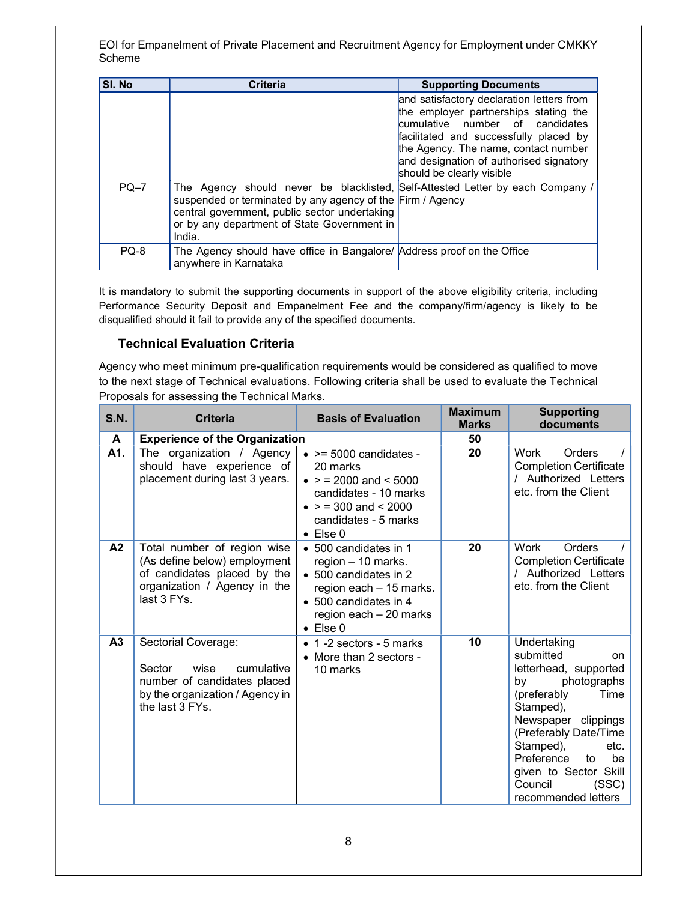| SI. No | <b>Criteria</b>                                                                                                                                                                                                                                        | <b>Supporting Documents</b>                                                                                                                                                                                                                                                     |
|--------|--------------------------------------------------------------------------------------------------------------------------------------------------------------------------------------------------------------------------------------------------------|---------------------------------------------------------------------------------------------------------------------------------------------------------------------------------------------------------------------------------------------------------------------------------|
|        |                                                                                                                                                                                                                                                        | and satisfactory declaration letters from<br>the employer partnerships stating the<br>cumulative number of candidates<br>facilitated and successfully placed by<br>the Agency. The name, contact number<br>and designation of authorised signatory<br>should be clearly visible |
| $PQ-7$ | The Agency should never be blacklisted, Self-Attested Letter by each Company /<br>suspended or terminated by any agency of the Firm / Agency<br>central government, public sector undertaking<br>or by any department of State Government in<br>India. |                                                                                                                                                                                                                                                                                 |
| PQ-8   | The Agency should have office in Bangalore/ Address proof on the Office<br>anywhere in Karnataka                                                                                                                                                       |                                                                                                                                                                                                                                                                                 |

It is mandatory to submit the supporting documents in support of the above eligibility criteria, including Performance Security Deposit and Empanelment Fee and the company/firm/agency is likely to be disqualified should it fail to provide any of the specified documents.

# Technical Evaluation Criteria

Agency who meet minimum pre-qualification requirements would be considered as qualified to move to the next stage of Technical evaluations. Following criteria shall be used to evaluate the Technical Proposals for assessing the Technical Marks.

| <b>S.N.</b>    | <b>Criteria</b>                                                                                                                           | <b>Basis of Evaluation</b>                                                                                                                                                       | <b>Maximum</b><br><b>Marks</b> | <b>Supporting</b><br>documents                                                                                                                                                                                                                                                      |
|----------------|-------------------------------------------------------------------------------------------------------------------------------------------|----------------------------------------------------------------------------------------------------------------------------------------------------------------------------------|--------------------------------|-------------------------------------------------------------------------------------------------------------------------------------------------------------------------------------------------------------------------------------------------------------------------------------|
| A              | <b>Experience of the Organization</b>                                                                                                     |                                                                                                                                                                                  | 50                             |                                                                                                                                                                                                                                                                                     |
| A1.            | The organization / Agency<br>should have experience of<br>placement during last 3 years.                                                  | $\bullet$ >= 5000 candidates -<br>20 marks<br>$\bullet$ > = 2000 and < 5000<br>candidates - 10 marks<br>$\bullet$ > = 300 and < 2000<br>candidates - 5 marks<br>$\bullet$ Else 0 | 20                             | Work<br>Orders<br><b>Completion Certificate</b><br>/ Authorized Letters<br>etc. from the Client                                                                                                                                                                                     |
| A <sub>2</sub> | Total number of region wise<br>(As define below) employment<br>of candidates placed by the<br>organization / Agency in the<br>last 3 FYs. | • 500 candidates in 1<br>region - 10 marks.<br>• 500 candidates in 2<br>region each - 15 marks.<br>• 500 candidates in 4<br>region each - 20 marks<br>$\bullet$ Else 0           | 20                             | Orders<br>Work<br><b>Completion Certificate</b><br>/ Authorized Letters<br>etc. from the Client                                                                                                                                                                                     |
| A3             | Sectorial Coverage:<br>Sector<br>wise<br>cumulative<br>number of candidates placed<br>by the organization / Agency in<br>the last 3 FYs.  | • 1 -2 sectors - 5 marks<br>• More than 2 sectors -<br>10 marks                                                                                                                  | 10                             | Undertaking<br>submitted<br>on<br>letterhead, supported<br>photographs<br>bv<br>(preferably<br>Time<br>Stamped),<br>Newspaper clippings<br>(Preferably Date/Time<br>Stamped),<br>etc.<br>Preference<br>to<br>be<br>given to Sector Skill<br>Council<br>(SSC)<br>recommended letters |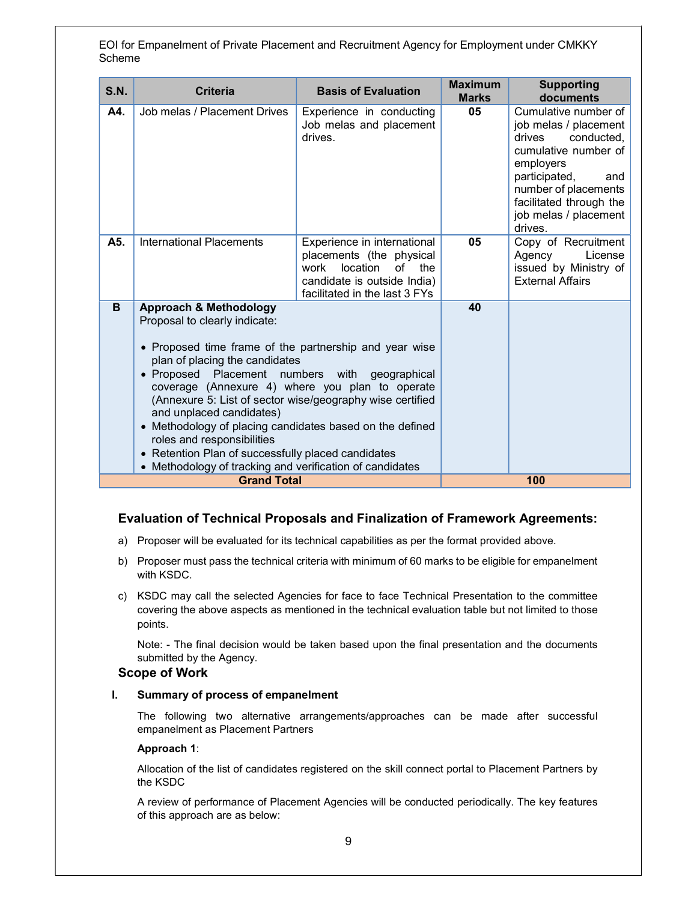| S.N. | <b>Criteria</b>                                                                                                                                                                                                                                                                                                                                                                                                                                                                                                                                                          | <b>Basis of Evaluation</b>                                                                                                                               | <b>Maximum</b><br><b>Marks</b> | <b>Supporting</b><br>documents                                                                                                                                                                                            |
|------|--------------------------------------------------------------------------------------------------------------------------------------------------------------------------------------------------------------------------------------------------------------------------------------------------------------------------------------------------------------------------------------------------------------------------------------------------------------------------------------------------------------------------------------------------------------------------|----------------------------------------------------------------------------------------------------------------------------------------------------------|--------------------------------|---------------------------------------------------------------------------------------------------------------------------------------------------------------------------------------------------------------------------|
| A4.  | Job melas / Placement Drives                                                                                                                                                                                                                                                                                                                                                                                                                                                                                                                                             | Experience in conducting<br>Job melas and placement<br>drives.                                                                                           | 05                             | Cumulative number of<br>job melas / placement<br>drives<br>conducted,<br>cumulative number of<br>employers<br>participated,<br>and<br>number of placements<br>facilitated through the<br>job melas / placement<br>drives. |
| A5.  | <b>International Placements</b>                                                                                                                                                                                                                                                                                                                                                                                                                                                                                                                                          | Experience in international<br>placements (the physical<br>work<br>location<br>of<br>the<br>candidate is outside India)<br>facilitated in the last 3 FYs | 05                             | Copy of Recruitment<br>License<br>Agency<br>issued by Ministry of<br><b>External Affairs</b>                                                                                                                              |
| B    | <b>Approach &amp; Methodology</b><br>Proposal to clearly indicate:<br>• Proposed time frame of the partnership and year wise<br>plan of placing the candidates<br>• Proposed Placement numbers with geographical<br>coverage (Annexure 4) where you plan to operate<br>(Annexure 5: List of sector wise/geography wise certified<br>and unplaced candidates)<br>• Methodology of placing candidates based on the defined<br>roles and responsibilities<br>• Retention Plan of successfully placed candidates<br>• Methodology of tracking and verification of candidates |                                                                                                                                                          | 40                             |                                                                                                                                                                                                                           |
|      | <b>Grand Total</b>                                                                                                                                                                                                                                                                                                                                                                                                                                                                                                                                                       |                                                                                                                                                          |                                | 100                                                                                                                                                                                                                       |

## Evaluation of Technical Proposals and Finalization of Framework Agreements:

- a) Proposer will be evaluated for its technical capabilities as per the format provided above.
- b) Proposer must pass the technical criteria with minimum of 60 marks to be eligible for empanelment with KSDC.
- c) KSDC may call the selected Agencies for face to face Technical Presentation to the committee covering the above aspects as mentioned in the technical evaluation table but not limited to those points.

Note: - The final decision would be taken based upon the final presentation and the documents submitted by the Agency.

#### Scope of Work

#### I. Summary of process of empanelment

The following two alternative arrangements/approaches can be made after successful empanelment as Placement Partners

#### Approach 1:

Allocation of the list of candidates registered on the skill connect portal to Placement Partners by the KSDC

A review of performance of Placement Agencies will be conducted periodically. The key features of this approach are as below: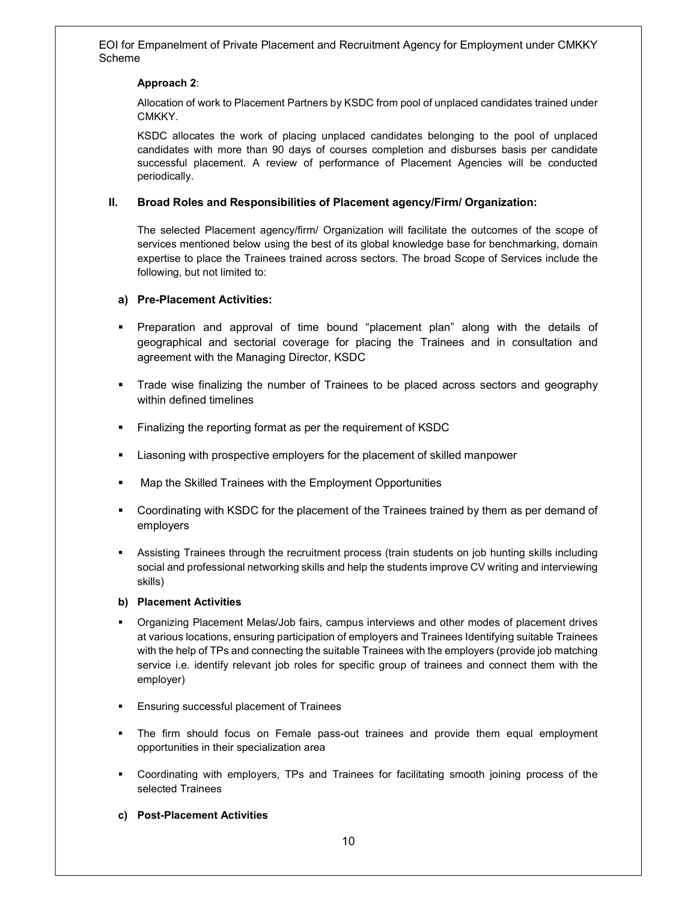## Approach 2:

Allocation of work to Placement Partners by KSDC from pool of unplaced candidates trained under CMKKY.

KSDC allocates the work of placing unplaced candidates belonging to the pool of unplaced candidates with more than 90 days of courses completion and disburses basis per candidate successful placement. A review of performance of Placement Agencies will be conducted periodically.

## II. Broad Roles and Responsibilities of Placement agency/Firm/ Organization:

The selected Placement agency/firm/ Organization will facilitate the outcomes of the scope of services mentioned below using the best of its global knowledge base for benchmarking, domain expertise to place the Trainees trained across sectors. The broad Scope of Services include the following, but not limited to:

## a) Pre-Placement Activities:

- Preparation and approval of time bound "placement plan" along with the details of geographical and sectorial coverage for placing the Trainees and in consultation and agreement with the Managing Director, KSDC
- Trade wise finalizing the number of Trainees to be placed across sectors and geography within defined timelines
- **Finalizing the reporting format as per the requirement of KSDC**
- Liasoning with prospective employers for the placement of skilled manpower
- Map the Skilled Trainees with the Employment Opportunities
- Coordinating with KSDC for the placement of the Trainees trained by them as per demand of employers
- Assisting Trainees through the recruitment process (train students on job hunting skills including social and professional networking skills and help the students improve CV writing and interviewing skills)

### b) Placement Activities

- Organizing Placement Melas/Job fairs, campus interviews and other modes of placement drives at various locations, ensuring participation of employers and Trainees Identifying suitable Trainees with the help of TPs and connecting the suitable Trainees with the employers (provide job matching service i.e. identify relevant job roles for specific group of trainees and connect them with the employer)
- Ensuring successful placement of Trainees
- The firm should focus on Female pass-out trainees and provide them equal employment opportunities in their specialization area
- Coordinating with employers, TPs and Trainees for facilitating smooth joining process of the selected Trainees
- c) Post-Placement Activities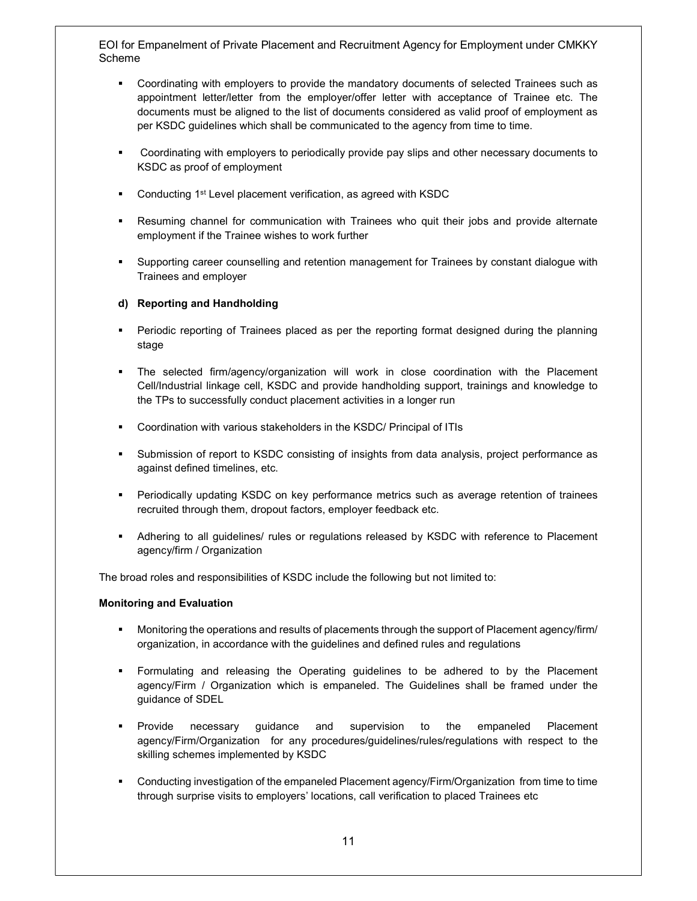- Coordinating with employers to provide the mandatory documents of selected Trainees such as appointment letter/letter from the employer/offer letter with acceptance of Trainee etc. The documents must be aligned to the list of documents considered as valid proof of employment as per KSDC guidelines which shall be communicated to the agency from time to time.
- Coordinating with employers to periodically provide pay slips and other necessary documents to KSDC as proof of employment
- Conducting 1st Level placement verification, as agreed with KSDC
- Resuming channel for communication with Trainees who quit their jobs and provide alternate employment if the Trainee wishes to work further
- Supporting career counselling and retention management for Trainees by constant dialogue with Trainees and employer

## d) Reporting and Handholding

- Periodic reporting of Trainees placed as per the reporting format designed during the planning stage
- The selected firm/agency/organization will work in close coordination with the Placement Cell/Industrial linkage cell, KSDC and provide handholding support, trainings and knowledge to the TPs to successfully conduct placement activities in a longer run
- Coordination with various stakeholders in the KSDC/ Principal of ITIs
- Submission of report to KSDC consisting of insights from data analysis, project performance as against defined timelines, etc.
- Periodically updating KSDC on key performance metrics such as average retention of trainees recruited through them, dropout factors, employer feedback etc.
- Adhering to all guidelines/ rules or regulations released by KSDC with reference to Placement agency/firm / Organization

The broad roles and responsibilities of KSDC include the following but not limited to:

### Monitoring and Evaluation

- **Monitoring the operations and results of placements through the support of Placement agency/firm/** organization, in accordance with the guidelines and defined rules and regulations
- Formulating and releasing the Operating guidelines to be adhered to by the Placement agency/Firm / Organization which is empaneled. The Guidelines shall be framed under the guidance of SDEL
- Provide necessary guidance and supervision to the empaneled Placement agency/Firm/Organization for any procedures/guidelines/rules/regulations with respect to the skilling schemes implemented by KSDC
- Conducting investigation of the empaneled Placement agency/Firm/Organization from time to time through surprise visits to employers' locations, call verification to placed Trainees etc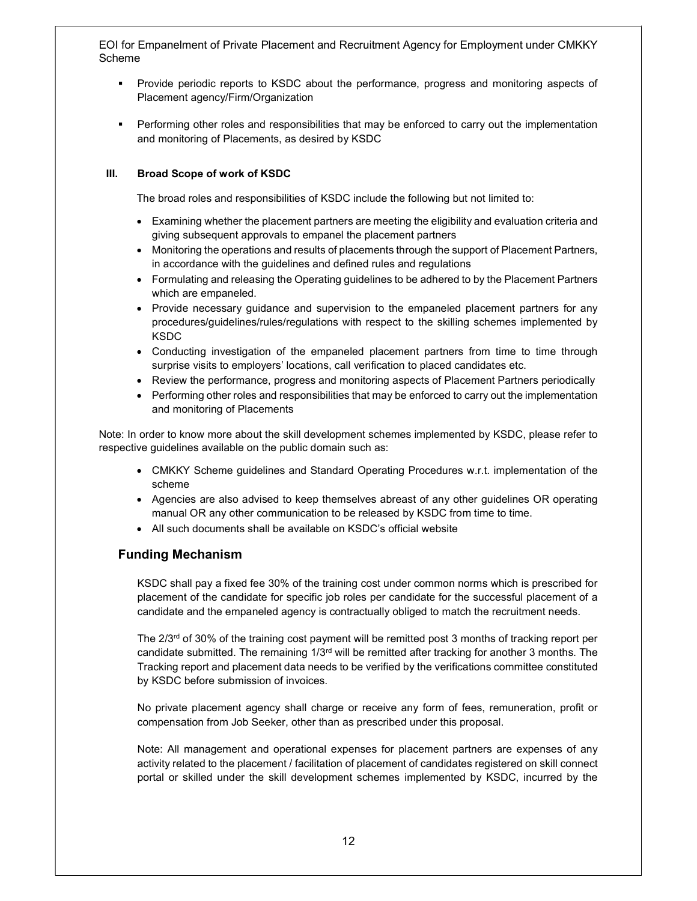- Provide periodic reports to KSDC about the performance, progress and monitoring aspects of Placement agency/Firm/Organization
- Performing other roles and responsibilities that may be enforced to carry out the implementation and monitoring of Placements, as desired by KSDC

## III. Broad Scope of work of KSDC

The broad roles and responsibilities of KSDC include the following but not limited to:

- Examining whether the placement partners are meeting the eligibility and evaluation criteria and giving subsequent approvals to empanel the placement partners
- Monitoring the operations and results of placements through the support of Placement Partners, in accordance with the guidelines and defined rules and regulations
- Formulating and releasing the Operating guidelines to be adhered to by the Placement Partners which are empaneled.
- Provide necessary guidance and supervision to the empaneled placement partners for any procedures/guidelines/rules/regulations with respect to the skilling schemes implemented by KSDC
- Conducting investigation of the empaneled placement partners from time to time through surprise visits to employers' locations, call verification to placed candidates etc.
- Review the performance, progress and monitoring aspects of Placement Partners periodically
- Performing other roles and responsibilities that may be enforced to carry out the implementation and monitoring of Placements

Note: In order to know more about the skill development schemes implemented by KSDC, please refer to respective guidelines available on the public domain such as:

- CMKKY Scheme guidelines and Standard Operating Procedures w.r.t. implementation of the scheme
- Agencies are also advised to keep themselves abreast of any other guidelines OR operating manual OR any other communication to be released by KSDC from time to time.
- All such documents shall be available on KSDC's official website

## Funding Mechanism

KSDC shall pay a fixed fee 30% of the training cost under common norms which is prescribed for placement of the candidate for specific job roles per candidate for the successful placement of a candidate and the empaneled agency is contractually obliged to match the recruitment needs.

The 2/3<sup>rd</sup> of 30% of the training cost payment will be remitted post 3 months of tracking report per candidate submitted. The remaining  $1/3<sup>rd</sup>$  will be remitted after tracking for another 3 months. The Tracking report and placement data needs to be verified by the verifications committee constituted by KSDC before submission of invoices.

No private placement agency shall charge or receive any form of fees, remuneration, profit or compensation from Job Seeker, other than as prescribed under this proposal.

Note: All management and operational expenses for placement partners are expenses of any activity related to the placement / facilitation of placement of candidates registered on skill connect portal or skilled under the skill development schemes implemented by KSDC, incurred by the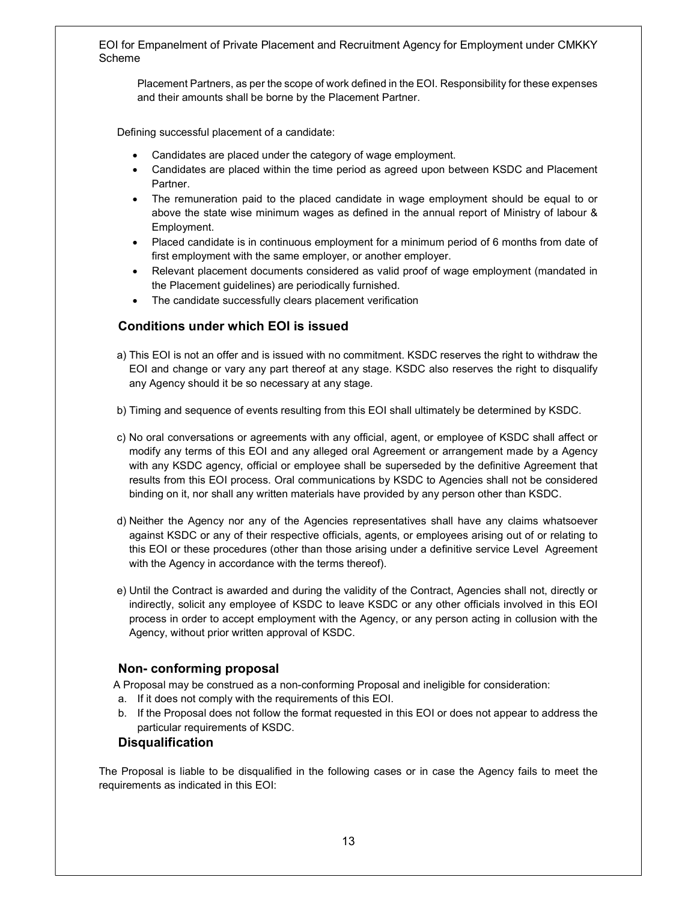Placement Partners, as per the scope of work defined in the EOI. Responsibility for these expenses and their amounts shall be borne by the Placement Partner.

Defining successful placement of a candidate:

- Candidates are placed under the category of wage employment.
- Candidates are placed within the time period as agreed upon between KSDC and Placement Partner.
- The remuneration paid to the placed candidate in wage employment should be equal to or above the state wise minimum wages as defined in the annual report of Ministry of labour & Employment.
- Placed candidate is in continuous employment for a minimum period of 6 months from date of first employment with the same employer, or another employer.
- Relevant placement documents considered as valid proof of wage employment (mandated in the Placement guidelines) are periodically furnished.
- The candidate successfully clears placement verification

## Conditions under which EOI is issued

- a) This EOI is not an offer and is issued with no commitment. KSDC reserves the right to withdraw the EOI and change or vary any part thereof at any stage. KSDC also reserves the right to disqualify any Agency should it be so necessary at any stage.
- b) Timing and sequence of events resulting from this EOI shall ultimately be determined by KSDC.
- c) No oral conversations or agreements with any official, agent, or employee of KSDC shall affect or modify any terms of this EOI and any alleged oral Agreement or arrangement made by a Agency with any KSDC agency, official or employee shall be superseded by the definitive Agreement that results from this EOI process. Oral communications by KSDC to Agencies shall not be considered binding on it, nor shall any written materials have provided by any person other than KSDC.
- d) Neither the Agency nor any of the Agencies representatives shall have any claims whatsoever against KSDC or any of their respective officials, agents, or employees arising out of or relating to this EOI or these procedures (other than those arising under a definitive service Level Agreement with the Agency in accordance with the terms thereof).
- e) Until the Contract is awarded and during the validity of the Contract, Agencies shall not, directly or indirectly, solicit any employee of KSDC to leave KSDC or any other officials involved in this EOI process in order to accept employment with the Agency, or any person acting in collusion with the Agency, without prior written approval of KSDC.

## Non- conforming proposal

A Proposal may be construed as a non-conforming Proposal and ineligible for consideration:

- a. If it does not comply with the requirements of this EOI.
- b. If the Proposal does not follow the format requested in this EOI or does not appear to address the particular requirements of KSDC.

## **Disqualification**

The Proposal is liable to be disqualified in the following cases or in case the Agency fails to meet the requirements as indicated in this EOI: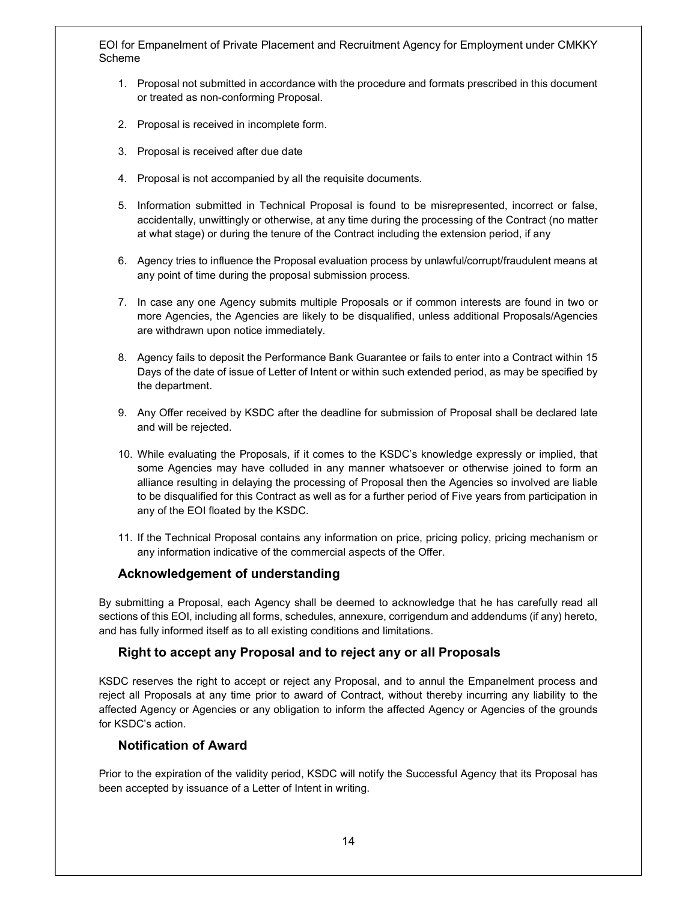- 1. Proposal not submitted in accordance with the procedure and formats prescribed in this document or treated as non-conforming Proposal.
- 2. Proposal is received in incomplete form.
- 3. Proposal is received after due date
- 4. Proposal is not accompanied by all the requisite documents.
- 5. Information submitted in Technical Proposal is found to be misrepresented, incorrect or false, accidentally, unwittingly or otherwise, at any time during the processing of the Contract (no matter at what stage) or during the tenure of the Contract including the extension period, if any
- 6. Agency tries to influence the Proposal evaluation process by unlawful/corrupt/fraudulent means at any point of time during the proposal submission process.
- 7. In case any one Agency submits multiple Proposals or if common interests are found in two or more Agencies, the Agencies are likely to be disqualified, unless additional Proposals/Agencies are withdrawn upon notice immediately.
- 8. Agency fails to deposit the Performance Bank Guarantee or fails to enter into a Contract within 15 Days of the date of issue of Letter of Intent or within such extended period, as may be specified by the department.
- 9. Any Offer received by KSDC after the deadline for submission of Proposal shall be declared late and will be rejected.
- 10. While evaluating the Proposals, if it comes to the KSDC's knowledge expressly or implied, that some Agencies may have colluded in any manner whatsoever or otherwise joined to form an alliance resulting in delaying the processing of Proposal then the Agencies so involved are liable to be disqualified for this Contract as well as for a further period of Five years from participation in any of the EOI floated by the KSDC.
- 11. If the Technical Proposal contains any information on price, pricing policy, pricing mechanism or any information indicative of the commercial aspects of the Offer.

## Acknowledgement of understanding

By submitting a Proposal, each Agency shall be deemed to acknowledge that he has carefully read all sections of this EOI, including all forms, schedules, annexure, corrigendum and addendums (if any) hereto, and has fully informed itself as to all existing conditions and limitations.

## Right to accept any Proposal and to reject any or all Proposals

KSDC reserves the right to accept or reject any Proposal, and to annul the Empanelment process and reject all Proposals at any time prior to award of Contract, without thereby incurring any liability to the affected Agency or Agencies or any obligation to inform the affected Agency or Agencies of the grounds for KSDC's action.

## Notification of Award

Prior to the expiration of the validity period, KSDC will notify the Successful Agency that its Proposal has been accepted by issuance of a Letter of Intent in writing.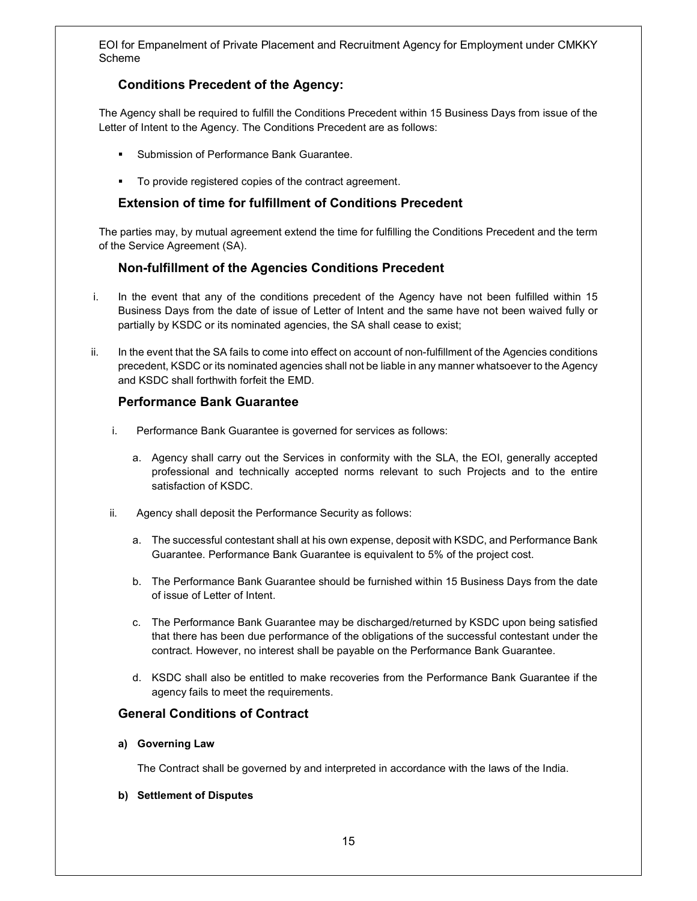# Conditions Precedent of the Agency:

The Agency shall be required to fulfill the Conditions Precedent within 15 Business Days from issue of the Letter of Intent to the Agency. The Conditions Precedent are as follows:

- Submission of Performance Bank Guarantee.
- To provide registered copies of the contract agreement.

## Extension of time for fulfillment of Conditions Precedent

The parties may, by mutual agreement extend the time for fulfilling the Conditions Precedent and the term of the Service Agreement (SA).

## Non-fulfillment of the Agencies Conditions Precedent

- i. In the event that any of the conditions precedent of the Agency have not been fulfilled within 15 Business Days from the date of issue of Letter of Intent and the same have not been waived fully or partially by KSDC or its nominated agencies, the SA shall cease to exist;
- ii. In the event that the SA fails to come into effect on account of non-fulfillment of the Agencies conditions precedent, KSDC or its nominated agencies shall not be liable in any manner whatsoever to the Agency and KSDC shall forthwith forfeit the EMD.

## Performance Bank Guarantee

- i. Performance Bank Guarantee is governed for services as follows:
	- a. Agency shall carry out the Services in conformity with the SLA, the EOI, generally accepted professional and technically accepted norms relevant to such Projects and to the entire satisfaction of KSDC.
- ii. Agency shall deposit the Performance Security as follows:
	- a. The successful contestant shall at his own expense, deposit with KSDC, and Performance Bank Guarantee. Performance Bank Guarantee is equivalent to 5% of the project cost.
	- b. The Performance Bank Guarantee should be furnished within 15 Business Days from the date of issue of Letter of Intent.
	- c. The Performance Bank Guarantee may be discharged/returned by KSDC upon being satisfied that there has been due performance of the obligations of the successful contestant under the contract. However, no interest shall be payable on the Performance Bank Guarantee.
	- d. KSDC shall also be entitled to make recoveries from the Performance Bank Guarantee if the agency fails to meet the requirements.

## General Conditions of Contract

### a) Governing Law

The Contract shall be governed by and interpreted in accordance with the laws of the India.

### b) Settlement of Disputes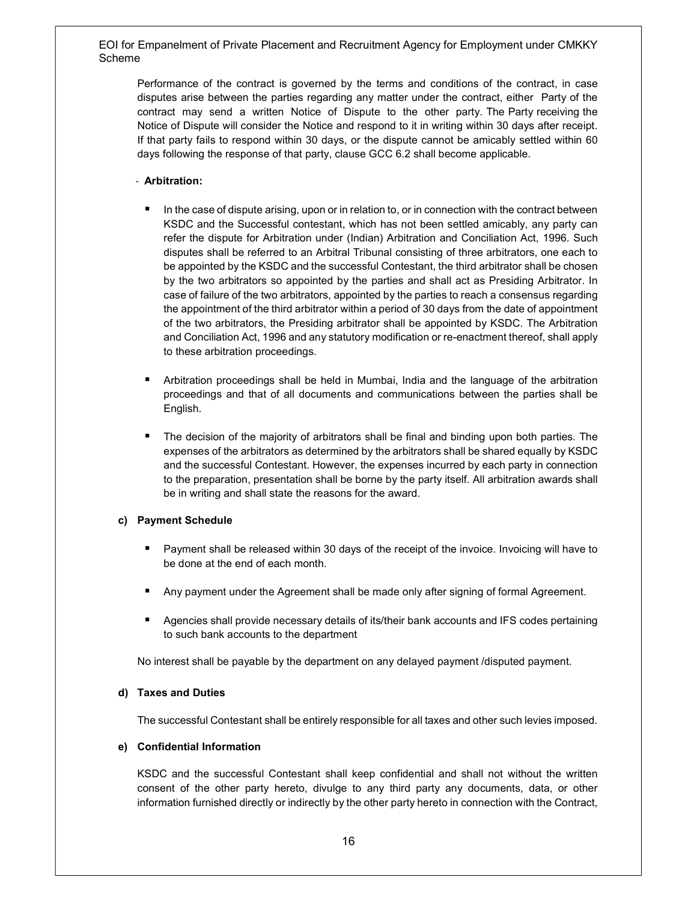Performance of the contract is governed by the terms and conditions of the contract, in case disputes arise between the parties regarding any matter under the contract, either Party of the contract may send a written Notice of Dispute to the other party. The Party receiving the Notice of Dispute will consider the Notice and respond to it in writing within 30 days after receipt. If that party fails to respond within 30 days, or the dispute cannot be amicably settled within 60 days following the response of that party, clause GCC 6.2 shall become applicable.

## - Arbitration:

- In the case of dispute arising, upon or in relation to, or in connection with the contract between KSDC and the Successful contestant, which has not been settled amicably, any party can refer the dispute for Arbitration under (Indian) Arbitration and Conciliation Act, 1996. Such disputes shall be referred to an Arbitral Tribunal consisting of three arbitrators, one each to be appointed by the KSDC and the successful Contestant, the third arbitrator shall be chosen by the two arbitrators so appointed by the parties and shall act as Presiding Arbitrator. In case of failure of the two arbitrators, appointed by the parties to reach a consensus regarding the appointment of the third arbitrator within a period of 30 days from the date of appointment of the two arbitrators, the Presiding arbitrator shall be appointed by KSDC. The Arbitration and Conciliation Act, 1996 and any statutory modification or re-enactment thereof, shall apply to these arbitration proceedings.
- Arbitration proceedings shall be held in Mumbai, India and the language of the arbitration proceedings and that of all documents and communications between the parties shall be English.
- **The decision of the majority of arbitrators shall be final and binding upon both parties. The** expenses of the arbitrators as determined by the arbitrators shall be shared equally by KSDC and the successful Contestant. However, the expenses incurred by each party in connection to the preparation, presentation shall be borne by the party itself. All arbitration awards shall be in writing and shall state the reasons for the award.

### c) Payment Schedule

- Payment shall be released within 30 days of the receipt of the invoice. Invoicing will have to be done at the end of each month.
- **Any payment under the Agreement shall be made only after signing of formal Agreement.**
- **Agencies shall provide necessary details of its/their bank accounts and IFS codes pertaining** to such bank accounts to the department

No interest shall be payable by the department on any delayed payment /disputed payment.

### d) Taxes and Duties

The successful Contestant shall be entirely responsible for all taxes and other such levies imposed.

### e) Confidential Information

KSDC and the successful Contestant shall keep confidential and shall not without the written consent of the other party hereto, divulge to any third party any documents, data, or other information furnished directly or indirectly by the other party hereto in connection with the Contract,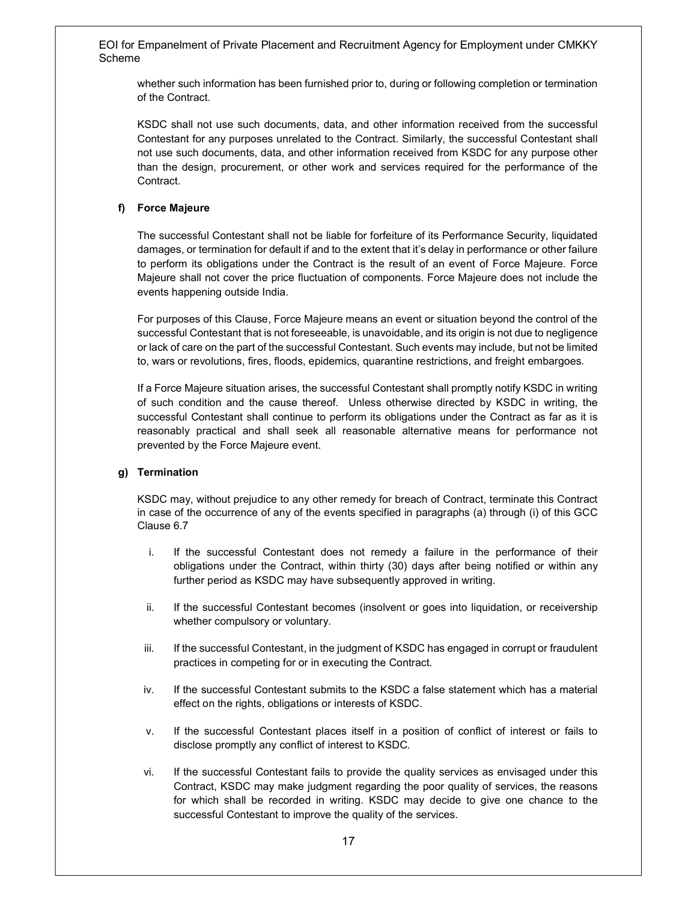whether such information has been furnished prior to, during or following completion or termination of the Contract.

KSDC shall not use such documents, data, and other information received from the successful Contestant for any purposes unrelated to the Contract. Similarly, the successful Contestant shall not use such documents, data, and other information received from KSDC for any purpose other than the design, procurement, or other work and services required for the performance of the Contract.

### f) Force Majeure

The successful Contestant shall not be liable for forfeiture of its Performance Security, liquidated damages, or termination for default if and to the extent that it's delay in performance or other failure to perform its obligations under the Contract is the result of an event of Force Majeure. Force Majeure shall not cover the price fluctuation of components. Force Majeure does not include the events happening outside India.

For purposes of this Clause, Force Majeure means an event or situation beyond the control of the successful Contestant that is not foreseeable, is unavoidable, and its origin is not due to negligence or lack of care on the part of the successful Contestant. Such events may include, but not be limited to, wars or revolutions, fires, floods, epidemics, quarantine restrictions, and freight embargoes.

If a Force Majeure situation arises, the successful Contestant shall promptly notify KSDC in writing of such condition and the cause thereof. Unless otherwise directed by KSDC in writing, the successful Contestant shall continue to perform its obligations under the Contract as far as it is reasonably practical and shall seek all reasonable alternative means for performance not prevented by the Force Majeure event.

### g) Termination

KSDC may, without prejudice to any other remedy for breach of Contract, terminate this Contract in case of the occurrence of any of the events specified in paragraphs (a) through (i) of this GCC Clause 6.7

- i. If the successful Contestant does not remedy a failure in the performance of their obligations under the Contract, within thirty (30) days after being notified or within any further period as KSDC may have subsequently approved in writing.
- ii. If the successful Contestant becomes (insolvent or goes into liquidation, or receivership whether compulsory or voluntary.
- iii. If the successful Contestant, in the judgment of KSDC has engaged in corrupt or fraudulent practices in competing for or in executing the Contract.
- iv. If the successful Contestant submits to the KSDC a false statement which has a material effect on the rights, obligations or interests of KSDC.
- v. If the successful Contestant places itself in a position of conflict of interest or fails to disclose promptly any conflict of interest to KSDC.
- vi. If the successful Contestant fails to provide the quality services as envisaged under this Contract, KSDC may make judgment regarding the poor quality of services, the reasons for which shall be recorded in writing. KSDC may decide to give one chance to the successful Contestant to improve the quality of the services.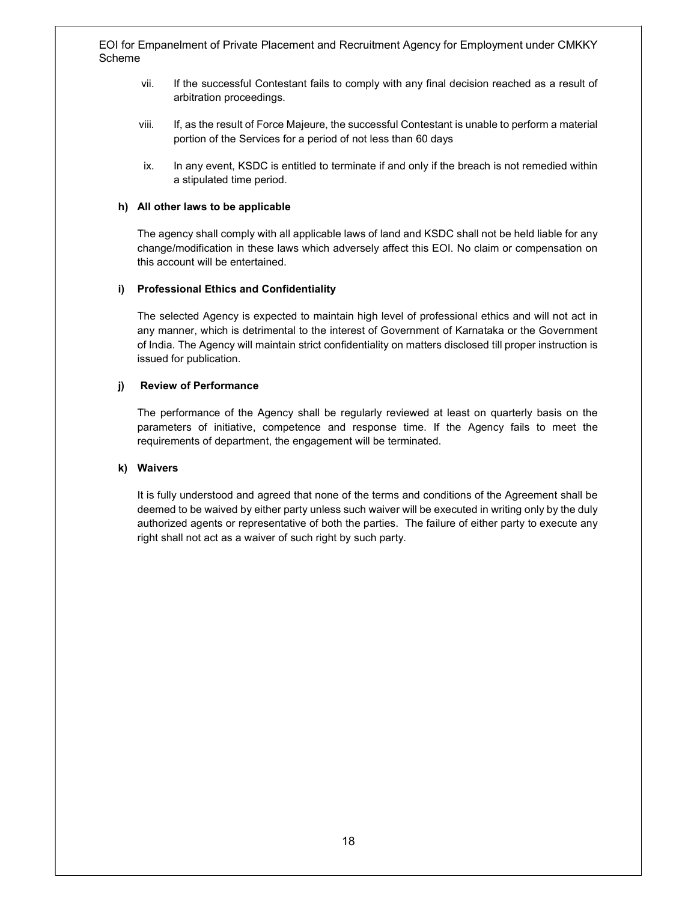- vii. If the successful Contestant fails to comply with any final decision reached as a result of arbitration proceedings.
- viii. If, as the result of Force Majeure, the successful Contestant is unable to perform a material portion of the Services for a period of not less than 60 days
- ix. In any event, KSDC is entitled to terminate if and only if the breach is not remedied within a stipulated time period.

#### h) All other laws to be applicable

The agency shall comply with all applicable laws of land and KSDC shall not be held liable for any change/modification in these laws which adversely affect this EOI. No claim or compensation on this account will be entertained.

#### i) Professional Ethics and Confidentiality

The selected Agency is expected to maintain high level of professional ethics and will not act in any manner, which is detrimental to the interest of Government of Karnataka or the Government of India. The Agency will maintain strict confidentiality on matters disclosed till proper instruction is issued for publication.

#### j) Review of Performance

The performance of the Agency shall be regularly reviewed at least on quarterly basis on the parameters of initiative, competence and response time. If the Agency fails to meet the requirements of department, the engagement will be terminated.

#### k) Waivers

It is fully understood and agreed that none of the terms and conditions of the Agreement shall be deemed to be waived by either party unless such waiver will be executed in writing only by the duly authorized agents or representative of both the parties. The failure of either party to execute any right shall not act as a waiver of such right by such party.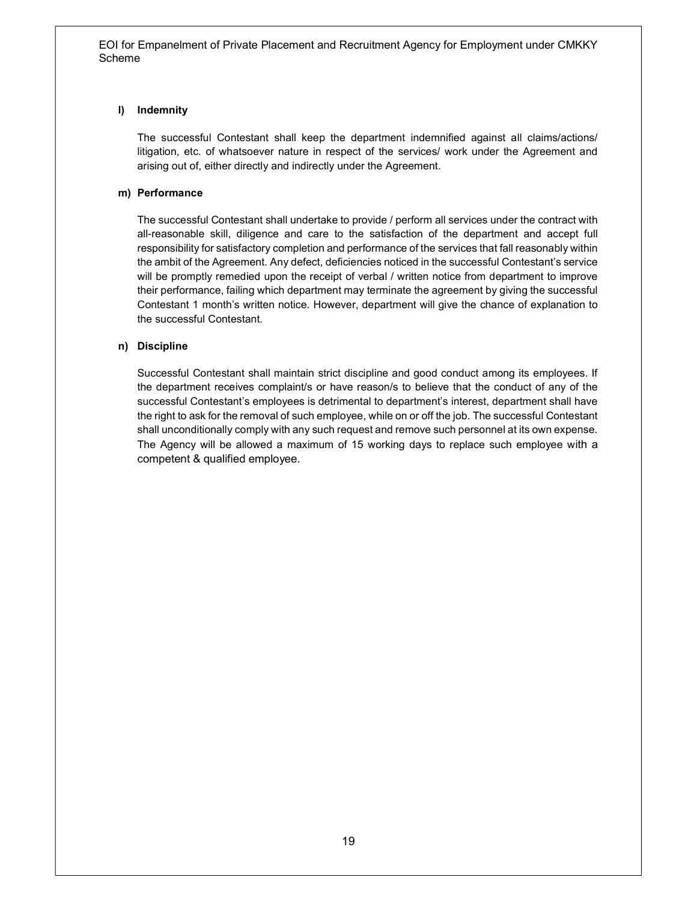## l) Indemnity

The successful Contestant shall keep the department indemnified against all claims/actions/ litigation, etc. of whatsoever nature in respect of the services/ work under the Agreement and arising out of, either directly and indirectly under the Agreement.

## m) Performance

The successful Contestant shall undertake to provide / perform all services under the contract with all-reasonable skill, diligence and care to the satisfaction of the department and accept full responsibility for satisfactory completion and performance of the services that fall reasonably within the ambit of the Agreement. Any defect, deficiencies noticed in the successful Contestant's service will be promptly remedied upon the receipt of verbal / written notice from department to improve their performance, failing which department may terminate the agreement by giving the successful Contestant 1 month's written notice. However, department will give the chance of explanation to the successful Contestant.

## n) Discipline

Successful Contestant shall maintain strict discipline and good conduct among its employees. If the department receives complaint/s or have reason/s to believe that the conduct of any of the successful Contestant's employees is detrimental to department's interest, department shall have the right to ask for the removal of such employee, while on or off the job. The successful Contestant shall unconditionally comply with any such request and remove such personnel at its own expense. The Agency will be allowed a maximum of 15 working days to replace such employee with a competent & qualified employee.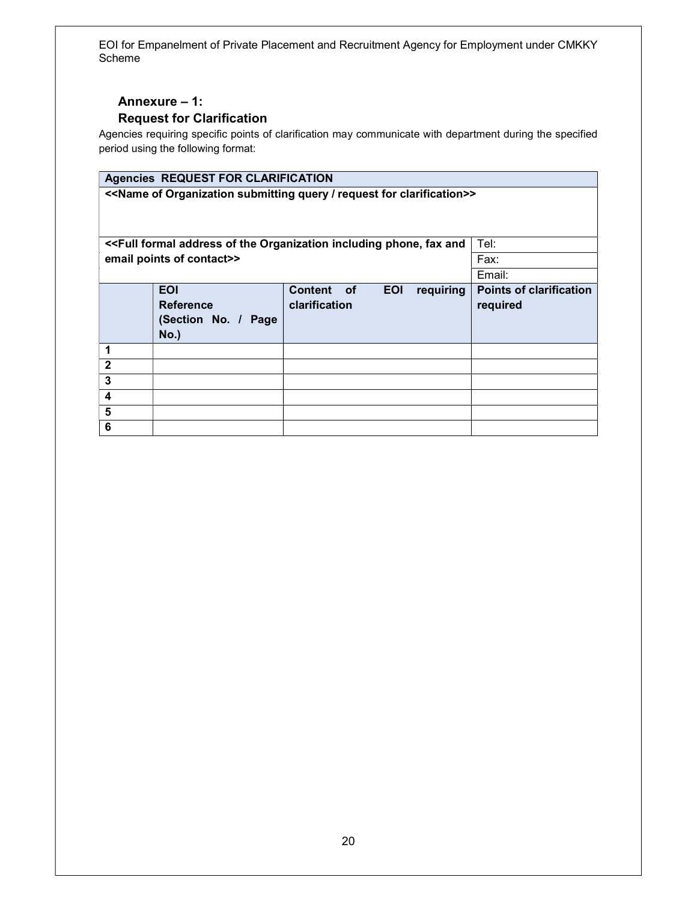# Annexure – 1: Request for Clarification

Agencies requiring specific points of clarification may communicate with department during the specified period using the following format:

# Agencies REQUEST FOR CLARIFICATION

<<Name of Organization submitting query / request for clarification>>

<<Full formal address of the Organization including phone, fax and Tel: email points of contact>> Fax:

|                  |                                                                      |                             |            |           | Email:                                     |
|------------------|----------------------------------------------------------------------|-----------------------------|------------|-----------|--------------------------------------------|
|                  | <b>EOI</b><br><b>Reference</b><br>(Section No. / Page<br><b>No.)</b> | Content of<br>clarification | <b>EOI</b> | requiring | <b>Points of clarification</b><br>required |
|                  |                                                                      |                             |            |           |                                            |
| $\overline{2}$   |                                                                      |                             |            |           |                                            |
| 3                |                                                                      |                             |            |           |                                            |
| $\boldsymbol{4}$ |                                                                      |                             |            |           |                                            |
| 5                |                                                                      |                             |            |           |                                            |
| 6                |                                                                      |                             |            |           |                                            |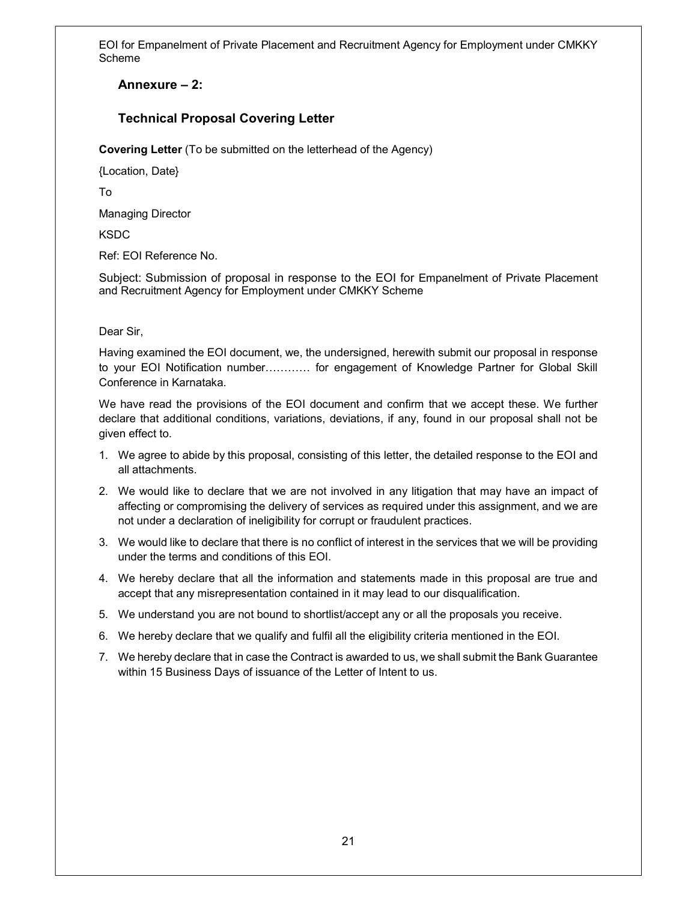# Annexure – 2:

# Technical Proposal Covering Letter

Covering Letter (To be submitted on the letterhead of the Agency)

{Location, Date}

To

Managing Director

**KSDC** 

Ref: EOI Reference No.

Subject: Submission of proposal in response to the EOI for Empanelment of Private Placement and Recruitment Agency for Employment under CMKKY Scheme

## Dear Sir,

Having examined the EOI document, we, the undersigned, herewith submit our proposal in response to your EOI Notification number………… for engagement of Knowledge Partner for Global Skill Conference in Karnataka.

We have read the provisions of the EOI document and confirm that we accept these. We further declare that additional conditions, variations, deviations, if any, found in our proposal shall not be given effect to.

- 1. We agree to abide by this proposal, consisting of this letter, the detailed response to the EOI and all attachments.
- 2. We would like to declare that we are not involved in any litigation that may have an impact of affecting or compromising the delivery of services as required under this assignment, and we are not under a declaration of ineligibility for corrupt or fraudulent practices.
- 3. We would like to declare that there is no conflict of interest in the services that we will be providing under the terms and conditions of this EOI.
- 4. We hereby declare that all the information and statements made in this proposal are true and accept that any misrepresentation contained in it may lead to our disqualification.
- 5. We understand you are not bound to shortlist/accept any or all the proposals you receive.
- 6. We hereby declare that we qualify and fulfil all the eligibility criteria mentioned in the EOI.
- 7. We hereby declare that in case the Contract is awarded to us, we shall submit the Bank Guarantee within 15 Business Days of issuance of the Letter of Intent to us.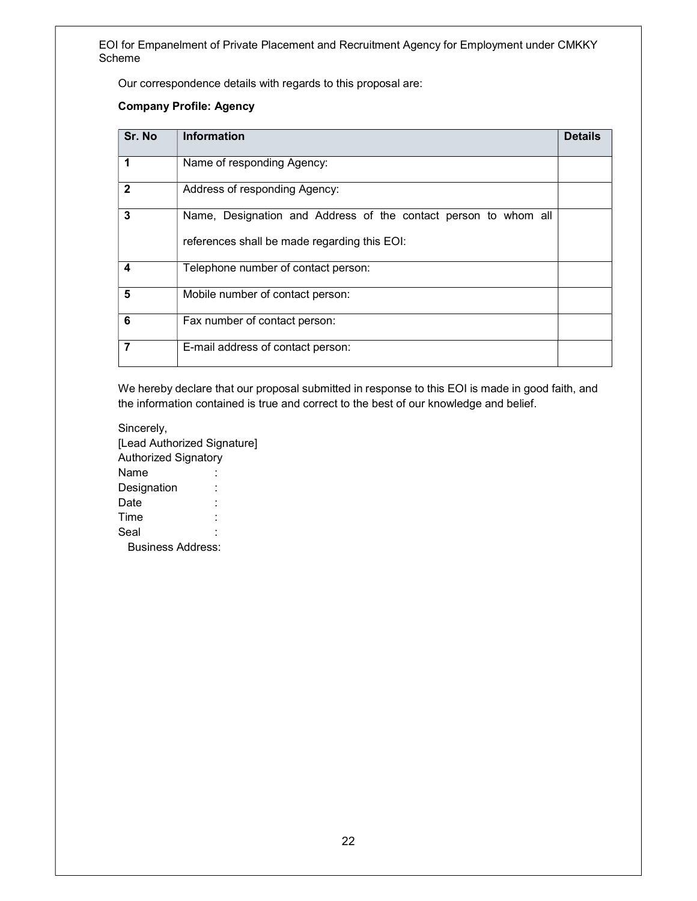Our correspondence details with regards to this proposal are:

## Company Profile: Agency

| Sr. No       | <b>Information</b>                                                                                              | <b>Details</b> |
|--------------|-----------------------------------------------------------------------------------------------------------------|----------------|
| 1            | Name of responding Agency:                                                                                      |                |
| $\mathbf{2}$ | Address of responding Agency:                                                                                   |                |
| 3            | Name, Designation and Address of the contact person to whom all<br>references shall be made regarding this EOI: |                |
| 4            | Telephone number of contact person:                                                                             |                |
| 5            | Mobile number of contact person:                                                                                |                |
| 6            | Fax number of contact person:                                                                                   |                |
| 7            | E-mail address of contact person:                                                                               |                |

We hereby declare that our proposal submitted in response to this EOI is made in good faith, and the information contained is true and correct to the best of our knowledge and belief.

Sincerely, [Lead Authorized Signature] Authorized Signatory Name : Designation : Date : Time : Seal Business Address: